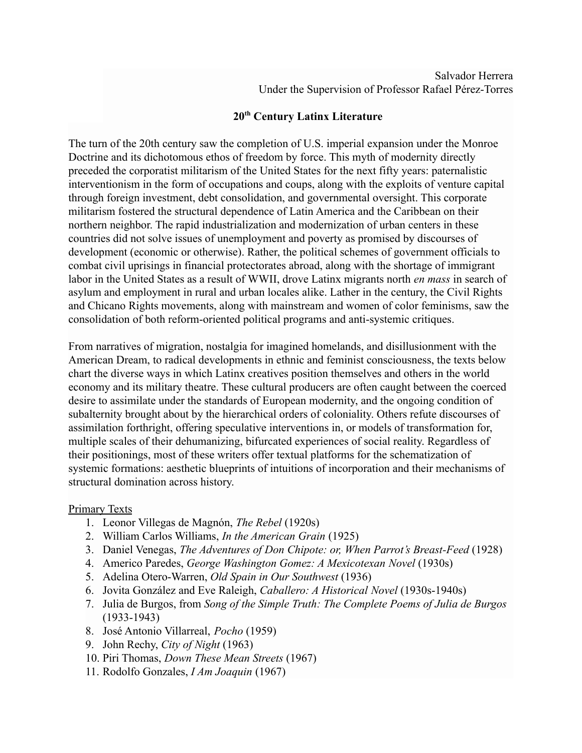## **20th Century Latinx Literature**

The turn of the 20th century saw the completion of U.S. imperial expansion under the Monroe Doctrine and its dichotomous ethos of freedom by force. This myth of modernity directly preceded the corporatist militarism of the United States for the next fifty years: paternalistic interventionism in the form of occupations and coups, along with the exploits of venture capital through foreign investment, debt consolidation, and governmental oversight. This corporate militarism fostered the structural dependence of Latin America and the Caribbean on their northern neighbor. The rapid industrialization and modernization of urban centers in these countries did not solve issues of unemployment and poverty as promised by discourses of development (economic or otherwise). Rather, the political schemes of government officials to combat civil uprisings in financial protectorates abroad, along with the shortage of immigrant labor in the United States as a result of WWII, drove Latinx migrants north *en mass* in search of asylum and employment in rural and urban locales alike. Lather in the century, the Civil Rights and Chicano Rights movements, along with mainstream and women of color feminisms, saw the consolidation of both reform-oriented political programs and anti-systemic critiques.

From narratives of migration, nostalgia for imagined homelands, and disillusionment with the American Dream, to radical developments in ethnic and feminist consciousness, the texts below chart the diverse ways in which Latinx creatives position themselves and others in the world economy and its military theatre. These cultural producers are often caught between the coerced desire to assimilate under the standards of European modernity, and the ongoing condition of subalternity brought about by the hierarchical orders of coloniality. Others refute discourses of assimilation forthright, offering speculative interventions in, or models of transformation for, multiple scales of their dehumanizing, bifurcated experiences of social reality. Regardless of their positionings, most of these writers offer textual platforms for the schematization of systemic formations: aesthetic blueprints of intuitions of incorporation and their mechanisms of structural domination across history.

## Primary Texts

- 1. Leonor Villegas de Magnón, *The Rebel* (1920s)
- 2. William Carlos Williams, *In the American Grain* (1925)
- 3. Daniel Venegas, *The Adventures of Don Chipote: or, When Parrot's Breast-Feed* (1928)
- 4. Americo Paredes, *George Washington Gomez: A Mexicotexan Novel* (1930s)
- 5. Adelina Otero-Warren, *Old Spain in Our Southwest* (1936)
- 6. Jovita González and Eve Raleigh, *Caballero: A Historical Novel* (1930s-1940s)
- 7. Julia de Burgos, from *Song of the Simple Truth: The Complete Poems of Julia de Burgos* (1933-1943)
- 8. José Antonio Villarreal, *Pocho* (1959)
- 9. John Rechy, *City of Night* (1963)
- 10. Piri Thomas, *Down These Mean Streets* (1967)
- 11. Rodolfo Gonzales, *I Am Joaquin* (1967)